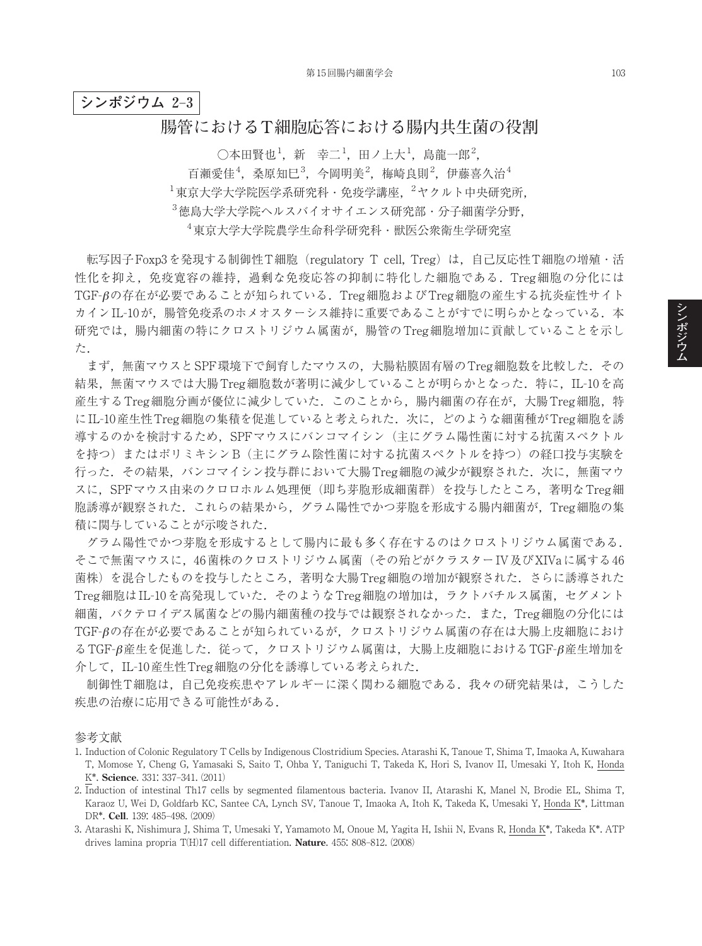**シンポジウム 2**–**3**

## **腸管における T 細胞応答における腸内共生菌の役割**

 $\bigcirc$ 本田賢也 $^1$ , 新 $\stackrel{\_}{\; \, \, }$ 幸二 $^1$ , 田ノ上大 $^1$ , 島龍一郎 $^2$ ,  $^1$ 百瀬愛佳<sup>4</sup>, 桑原知巳<sup>3</sup>, 今岡明美<sup>2</sup>, 梅崎良則<sup>2</sup>, 伊藤喜久治<sup>4</sup>  $^1$ 東京大学大学院医学系研究科・免疫学講座, $^2$ ヤクルト中央研究所, 3 徳島大学大学院ヘルスバイオサイエンス研究部・分子細菌学分野, 4 東京大学大学院農学生命科学研究科・獣医公衆衛生学研究室

転写因子Foxp3を発現する制御性T細胞(regulatory T cell, Treg)は,自己反応性T細胞の増殖・活 性化を抑え,免疫寛容の維持,過剰な免疫応答の抑制に特化した細胞である.Treg細胞の分化には TGF-βの存在が必要であることが知られている.Treg細胞およびTreg細胞の産生する抗炎症性サイト カインIL-10が, 腸管免疫系のホメオスターシス維持に重要であることがすでに明らかとなっている. 本 研究では,腸内細菌の特にクロストリジウム属菌が,腸管のTreg細胞増加に貢献していることを示し た.

まず,無菌マウスとSPF環境下で飼育したマウスの,大腸粘膜固有層のTreg細胞数を比較した.その 結果,無菌マウスでは大腸Treg細胞数が著明に減少していることが明らかとなった.特に,IL-10を高 産生するTreg細胞分画が優位に減少していた.このことから,腸内細菌の存在が,大腸Treg細胞,特 にIL-10産生性Treg細胞の集積を促進していると考えられた. 次に、どのような細菌種がTreg細胞を誘 導するのかを検討するため,SPFマウスにバンコマイシン(主にグラム陽性菌に対する抗菌スペクトル を持つ)またはポリミキシンB(主にグラム陰性菌に対する抗菌スペクトルを持つ)の経口投与実験を 行った. その結果、バンコマイシン投与群において大腸 Treg 細胞の減少が観察された. 次に,無菌マウ スに,SPFマウス由来のクロロホルム処理便(即ち芽胞形成細菌群)を投与したところ,著明なTreg細 胞誘導が観察された.これらの結果から,グラム陽性でかつ芽胞を形成する腸内細菌が,Treg細胞の集 積に関与していることが示唆された.

グラム陽性でかつ芽胞を形成するとして腸内に最も多く存在するのはクロストリジウム属菌である. そこで無菌マウスに,46菌株のクロストリジウム属菌(その殆どがクラスターIV及びXIVaに属する46 菌株)を混合したものを投与したところ,著明な大腸Treg細胞の増加が観察された.さらに誘導された Treg細胞はIL-10を高発現していた.そのようなTreg細胞の増加は,ラクトバチルス属菌,セグメント 細菌,バクテロイデス属菌などの腸内細菌種の投与では観察されなかった.また,Treg細胞の分化には TGF-βの存在が必要であることが知られているが,クロストリジウム属菌の存在は大腸上皮細胞におけ  $\delta$ TGF- $\beta$ 産生を促進した. 従って、クロストリジウム属菌は、大腸上皮細胞におけるTGF- $\beta$ 産生増加を 介して,IL-10産生性Treg細胞の分化を誘導している考えられた.

制御性T細胞は,自己免疫疾患やアレルギーに深く関わる細胞である.我々の研究結果は,こうした 疾患の治療に応用できる可能性がある.

参考文献

- 1. Induction of Colonic Regulatory T Cells by Indigenous Clostridium Species. Atarashi K, Tanoue T, Shima T, Imaoka A, Kuwahara T, Momose Y, Cheng G, Yamasaki S, Saito T, Ohba Y, Taniguchi T, Takeda K, Hori S, Ivanov II, Umesaki Y, Itoh K, Honda K\*. **Science**. 331: 337–341. (2011)
- 2. Induction of intestinal Th17 cells by segmented filamentous bacteria. Ivanov II, Atarashi K, Manel N, Brodie EL, Shima T, Karaoz U, Wei D, Goldfarb KC, Santee CA, Lynch SV, Tanoue T, Imaoka A, Itoh K, Takeda K, Umesaki Y, Honda K\*, Littman DR\*. **Cell**. 139: 485–498. (2009)
- 3. Atarashi K, Nishimura J, Shima T, Umesaki Y, Yamamoto M, Onoue M, Yagita H, Ishii N, Evans R, Honda K\*, Takeda K\*. ATP drives lamina propria T(H)17 cell differentiation. **Nature**. 455: 808–812. (2008)